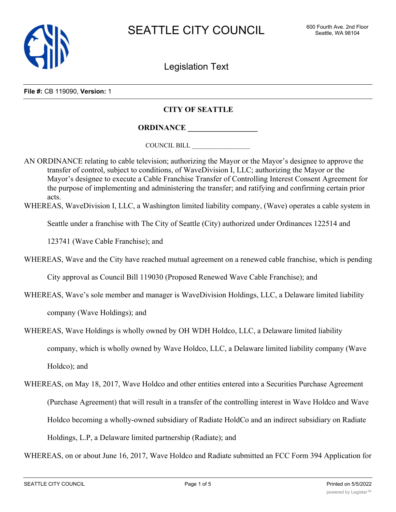

Legislation Text

**File #:** CB 119090, **Version:** 1

## **CITY OF SEATTLE**

**ORDINANCE \_\_\_\_\_\_\_\_\_\_\_\_\_\_\_\_\_\_**

COUNCIL BILL \_\_\_\_\_\_\_\_\_\_\_\_\_\_\_\_\_\_

AN ORDINANCE relating to cable television; authorizing the Mayor or the Mayor's designee to approve the transfer of control, subject to conditions, of WaveDivision I, LLC; authorizing the Mayor or the Mayor's designee to execute a Cable Franchise Transfer of Controlling Interest Consent Agreement for the purpose of implementing and administering the transfer; and ratifying and confirming certain prior acts.

WHEREAS, WaveDivision I, LLC, a Washington limited liability company, (Wave) operates a cable system in

Seattle under a franchise with The City of Seattle (City) authorized under Ordinances 122514 and

123741 (Wave Cable Franchise); and

WHEREAS, Wave and the City have reached mutual agreement on a renewed cable franchise, which is pending

City approval as Council Bill 119030 (Proposed Renewed Wave Cable Franchise); and

- WHEREAS, Wave's sole member and manager is WaveDivision Holdings, LLC, a Delaware limited liability company (Wave Holdings); and
- WHEREAS, Wave Holdings is wholly owned by OH WDH Holdco, LLC, a Delaware limited liability company, which is wholly owned by Wave Holdco, LLC, a Delaware limited liability company (Wave Holdco); and
- WHEREAS, on May 18, 2017, Wave Holdco and other entities entered into a Securities Purchase Agreement (Purchase Agreement) that will result in a transfer of the controlling interest in Wave Holdco and Wave Holdco becoming a wholly-owned subsidiary of Radiate HoldCo and an indirect subsidiary on Radiate Holdings, L.P, a Delaware limited partnership (Radiate); and

WHEREAS, on or about June 16, 2017, Wave Holdco and Radiate submitted an FCC Form 394 Application for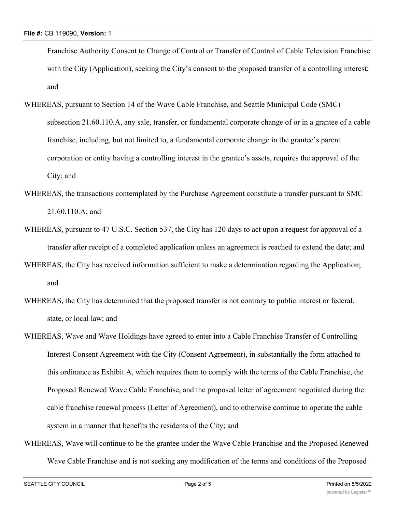Franchise Authority Consent to Change of Control or Transfer of Control of Cable Television Franchise with the City (Application), seeking the City's consent to the proposed transfer of a controlling interest; and

- WHEREAS, pursuant to Section 14 of the Wave Cable Franchise, and Seattle Municipal Code (SMC) subsection 21.60.110.A, any sale, transfer, or fundamental corporate change of or in a grantee of a cable franchise, including, but not limited to, a fundamental corporate change in the grantee's parent corporation or entity having a controlling interest in the grantee's assets, requires the approval of the City; and
- WHEREAS, the transactions contemplated by the Purchase Agreement constitute a transfer pursuant to SMC 21.60.110.A; and
- WHEREAS, pursuant to 47 U.S.C. Section 537, the City has 120 days to act upon a request for approval of a transfer after receipt of a completed application unless an agreement is reached to extend the date; and
- WHEREAS, the City has received information sufficient to make a determination regarding the Application; and
- WHEREAS, the City has determined that the proposed transfer is not contrary to public interest or federal, state, or local law; and
- WHEREAS, Wave and Wave Holdings have agreed to enter into a Cable Franchise Transfer of Controlling Interest Consent Agreement with the City (Consent Agreement), in substantially the form attached to this ordinance as Exhibit A, which requires them to comply with the terms of the Cable Franchise, the Proposed Renewed Wave Cable Franchise, and the proposed letter of agreement negotiated during the cable franchise renewal process (Letter of Agreement), and to otherwise continue to operate the cable system in a manner that benefits the residents of the City; and
- WHEREAS, Wave will continue to be the grantee under the Wave Cable Franchise and the Proposed Renewed Wave Cable Franchise and is not seeking any modification of the terms and conditions of the Proposed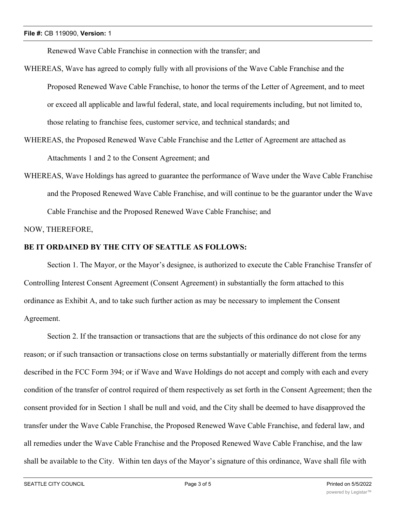Renewed Wave Cable Franchise in connection with the transfer; and

- WHEREAS, Wave has agreed to comply fully with all provisions of the Wave Cable Franchise and the Proposed Renewed Wave Cable Franchise, to honor the terms of the Letter of Agreement, and to meet or exceed all applicable and lawful federal, state, and local requirements including, but not limited to, those relating to franchise fees, customer service, and technical standards; and
- WHEREAS, the Proposed Renewed Wave Cable Franchise and the Letter of Agreement are attached as Attachments 1 and 2 to the Consent Agreement; and
- WHEREAS, Wave Holdings has agreed to guarantee the performance of Wave under the Wave Cable Franchise and the Proposed Renewed Wave Cable Franchise, and will continue to be the guarantor under the Wave Cable Franchise and the Proposed Renewed Wave Cable Franchise; and

NOW, THEREFORE,

## **BE IT ORDAINED BY THE CITY OF SEATTLE AS FOLLOWS:**

Section 1. The Mayor, or the Mayor's designee, is authorized to execute the Cable Franchise Transfer of Controlling Interest Consent Agreement (Consent Agreement) in substantially the form attached to this ordinance as Exhibit A, and to take such further action as may be necessary to implement the Consent Agreement.

Section 2. If the transaction or transactions that are the subjects of this ordinance do not close for any reason; or if such transaction or transactions close on terms substantially or materially different from the terms described in the FCC Form 394; or if Wave and Wave Holdings do not accept and comply with each and every condition of the transfer of control required of them respectively as set forth in the Consent Agreement; then the consent provided for in Section 1 shall be null and void, and the City shall be deemed to have disapproved the transfer under the Wave Cable Franchise, the Proposed Renewed Wave Cable Franchise, and federal law, and all remedies under the Wave Cable Franchise and the Proposed Renewed Wave Cable Franchise, and the law shall be available to the City. Within ten days of the Mayor's signature of this ordinance, Wave shall file with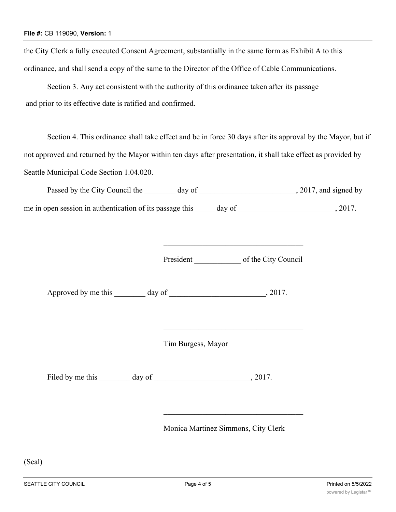the City Clerk a fully executed Consent Agreement, substantially in the same form as Exhibit A to this ordinance, and shall send a copy of the same to the Director of the Office of Cable Communications.

Section 3. Any act consistent with the authority of this ordinance taken after its passage and prior to its effective date is ratified and confirmed.

Section 4. This ordinance shall take effect and be in force 30 days after its approval by the Mayor, but if not approved and returned by the Mayor within ten days after presentation, it shall take effect as provided by Seattle Municipal Code Section 1.04.020.

| Passed by the City Council the                           | day of | , 2017, and signed by |
|----------------------------------------------------------|--------|-----------------------|
| me in open session in authentication of its passage this | day of | 2017.                 |

President of the City Council

Approved by me this day of  $\qquad \qquad$ , 2017.

Tim Burgess, Mayor

Filed by me this \_\_\_\_\_\_\_\_ day of \_\_\_\_\_\_\_\_\_\_\_\_\_\_\_\_\_\_\_\_\_\_\_\_\_, 2017.

Monica Martinez Simmons, City Clerk